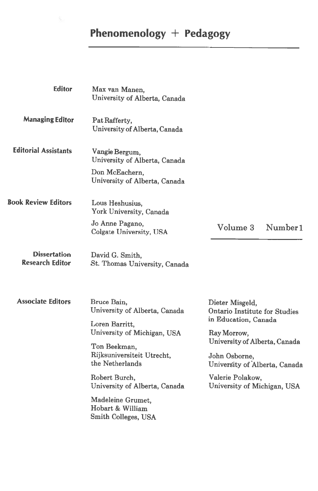## Phenomenology <sup>+</sup> Pedagogy

| <b>Editor</b>                                 | Max van Manen,<br>University of Alberta, Canada                                                                |                                                                                 |
|-----------------------------------------------|----------------------------------------------------------------------------------------------------------------|---------------------------------------------------------------------------------|
| <b>Managing Editor</b>                        | Pat Rafferty,<br>University of Alberta, Canada                                                                 |                                                                                 |
| <b>Editorial Assistants</b>                   | Vangie Bergum,<br>University of Alberta, Canada                                                                |                                                                                 |
|                                               | Don McEachern,<br>University of Alberta, Canada                                                                |                                                                                 |
| <b>Book Review Editors</b>                    | Lous Heshusius.<br>York University, Canada                                                                     |                                                                                 |
|                                               | Jo Anne Pagano,<br>Colgate University, USA                                                                     | Number <sub>1</sub><br>Volume 3                                                 |
| <b>Dissertation</b><br><b>Research Editor</b> | David G. Smith,<br>St. Thomas University, Canada                                                               |                                                                                 |
| <b>Associate Editors</b>                      | Bruce Bain,<br>University of Alberta, Canada                                                                   | Dieter Misgeld,<br>Ontario Institute for Studies<br>in Education, Canada        |
|                                               | Loren Barritt,<br>University of Michigan, USA<br>Ton Beekman,<br>Rijksuniversiteit Utrecht,<br>the Netherlands | Ray Morrow,                                                                     |
|                                               |                                                                                                                | University of Alberta, Canada<br>John Osborne,<br>University of Alberta, Canada |
|                                               | Robert Burch,<br>University of Alberta, Canada                                                                 | Valerie Polakow,<br>University of Michigan, USA                                 |
|                                               | Madeleine Grumet,<br>Hobart & William<br>Smith Colleges, USA                                                   |                                                                                 |
|                                               |                                                                                                                |                                                                                 |